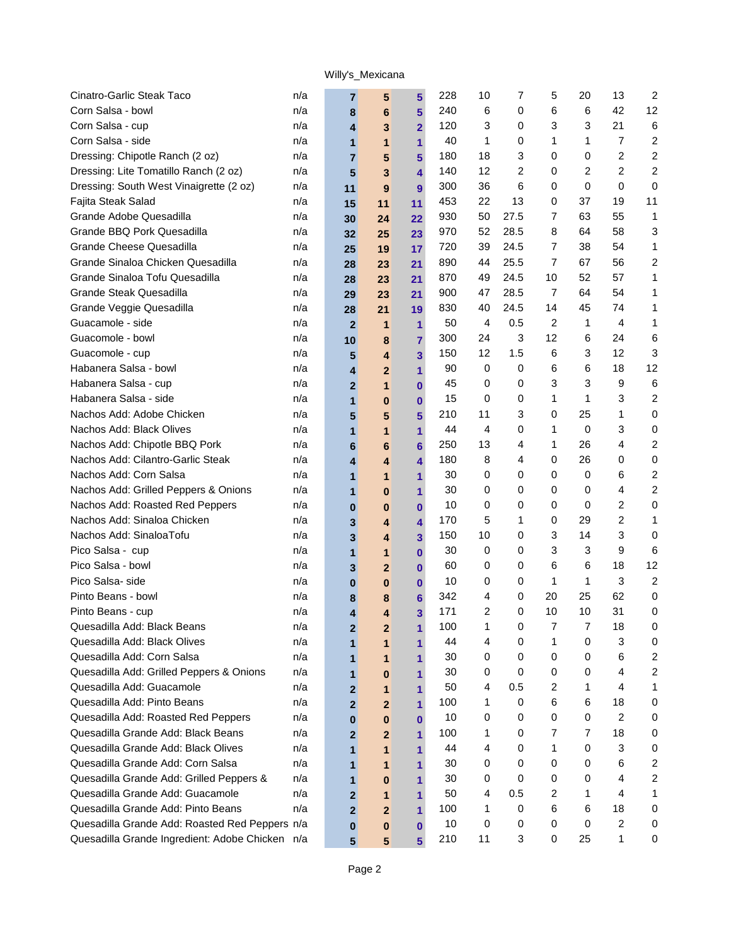| Cinatro-Garlic Steak Taco                       | n/a | 7              | 5                       | 5                       | 228 | 10 | 7    | 5              | 20 | 13             | 2                       |
|-------------------------------------------------|-----|----------------|-------------------------|-------------------------|-----|----|------|----------------|----|----------------|-------------------------|
| Corn Salsa - bowl                               | n/a | 8              | 6                       | 5                       | 240 | 6  | 0    | 6              | 6  | 42             | 12                      |
| Corn Salsa - cup                                | n/a | 4              | 3                       | $\overline{2}$          | 120 | 3  | 0    | 3              | 3  | 21             | 6                       |
| Corn Salsa - side                               | n/a | 1              | $\mathbf{1}$            | $\mathbf{1}$            | 40  | 1  | 0    | 1              | 1  | $\overline{7}$ | 2                       |
| Dressing: Chipotle Ranch (2 oz)                 | n/a | $\overline{7}$ | 5                       | $5\phantom{a}$          | 180 | 18 | 3    | 0              | 0  | 2              | $\boldsymbol{2}$        |
| Dressing: Lite Tomatillo Ranch (2 oz)           | n/a | 5              | 3                       | $\overline{\mathbf{4}}$ | 140 | 12 | 2    | 0              | 2  | 2              | 2                       |
| Dressing: South West Vinaigrette (2 oz)         | n/a | 11             | 9                       | 9                       | 300 | 36 | 6    | 0              | 0  | 0              | 0                       |
| Fajita Steak Salad                              | n/a | 15             | 11                      | 11                      | 453 | 22 | 13   | 0              | 37 | 19             | 11                      |
| Grande Adobe Quesadilla                         | n/a | 30             | 24                      | 22                      | 930 | 50 | 27.5 | 7              | 63 | 55             | 1                       |
| Grande BBQ Pork Quesadilla                      | n/a | 32             | 25                      | 23                      | 970 | 52 | 28.5 | 8              | 64 | 58             | 3                       |
| Grande Cheese Quesadilla                        | n/a | 25             | 19                      | 17                      | 720 | 39 | 24.5 | 7              | 38 | 54             | 1                       |
| Grande Sinaloa Chicken Quesadilla               | n/a | 28             | 23                      | 21                      | 890 | 44 | 25.5 | $\overline{7}$ | 67 | 56             | 2                       |
| Grande Sinaloa Tofu Quesadilla                  | n/a | 28             | 23                      | 21                      | 870 | 49 | 24.5 | 10             | 52 | 57             | 1                       |
| <b>Grande Steak Quesadilla</b>                  | n/a | 29             | 23                      | 21                      | 900 | 47 | 28.5 | $\overline{7}$ | 64 | 54             | 1                       |
| Grande Veggie Quesadilla                        | n/a | 28             | 21                      | 19                      | 830 | 40 | 24.5 | 14             | 45 | 74             | 1                       |
| Guacamole - side                                | n/a | $\overline{2}$ | 1                       | 1                       | 50  | 4  | 0.5  | 2              | 1  | 4              | 1                       |
| Guacomole - bowl                                | n/a | 10             | 8                       | $\overline{7}$          | 300 | 24 | 3    | 12             | 6  | 24             | 6                       |
| Guacomole - cup                                 | n/a | 5              | 4                       | 3                       | 150 | 12 | 1.5  | 6              | 3  | 12             | 3                       |
| Habanera Salsa - bowl                           | n/a | 4              | $\mathbf{2}$            | 1                       | 90  | 0  | 0    | 6              | 6  | 18             | 12                      |
| Habanera Salsa - cup                            | n/a | $\mathbf{2}$   | $\mathbf{1}$            | $\bf{0}$                | 45  | 0  | 0    | 3              | 3  | 9              | 6                       |
| Habanera Salsa - side                           | n/a | 1              | $\bf{0}$                | $\bf{0}$                | 15  | 0  | 0    | 1              | 1  | 3              | 2                       |
| Nachos Add: Adobe Chicken                       | n/a | 5              | 5                       | 5                       | 210 | 11 | 3    | 0              | 25 | 1              | 0                       |
| Nachos Add: Black Olives                        | n/a | 1              | $\mathbf{1}$            | 1                       | 44  | 4  | 0    | 1              | 0  | 3              | 0                       |
| Nachos Add: Chipotle BBQ Pork                   | n/a | 6              | 6                       | $6\phantom{1}$          | 250 | 13 | 4    | 1              | 26 | 4              | $\overline{c}$          |
| Nachos Add: Cilantro-Garlic Steak               | n/a | 4              | 4                       | 4                       | 180 | 8  | 4    | 0              | 26 | 0              | $\mathbf 0$             |
| Nachos Add: Corn Salsa                          | n/a | 1              | 1                       | 1                       | 30  | 0  | 0    | 0              | 0  | 6              | $\overline{\mathbf{c}}$ |
| Nachos Add: Grilled Peppers & Onions            | n/a | 1              | $\bf{0}$                | $\mathbf{1}$            | 30  | 0  | 0    | 0              | 0  | 4              | 2                       |
| Nachos Add: Roasted Red Peppers                 | n/a | $\bf{0}$       | $\bf{0}$                | $\bf{0}$                | 10  | 0  | 0    | 0              | 0  | 2              | 0                       |
| Nachos Add: Sinaloa Chicken                     | n/a | 3              | 4                       | $\overline{\mathbf{4}}$ | 170 | 5  | 1    | 0              | 29 | 2              | 1                       |
| Nachos Add: SinaloaTofu                         | n/a | 3              | $\overline{\mathbf{4}}$ | $\overline{\mathbf{3}}$ | 150 | 10 | 0    | 3              | 14 | 3              | 0                       |
| Pico Salsa - cup                                | n/a | $\mathbf{1}$   | $\mathbf{1}$            | $\bf{0}$                | 30  | 0  | 0    | 3              | 3  | 9              | 6                       |
| Pico Salsa - bowl                               | n/a | 3              | $\mathbf{2}$            | $\bf{0}$                | 60  | 0  | 0    | 6              | 6  | 18             | 12                      |
| Pico Salsa-side                                 | n/a | $\bf{0}$       | $\bf{0}$                | $\bf{0}$                | 10  | 0  | 0    | 1              | 1  | 3              | 2                       |
| Pinto Beans - bowl                              | n/a | 8              | 8                       | $6\phantom{1}$          | 342 | 4  | 0    | 20             | 25 | 62             | 0                       |
| Pinto Beans - cup                               | n/a | 4              | 4                       | 3                       | 171 | 2  | 0    | 10             | 10 | 31             | 0                       |
| Quesadilla Add: Black Beans                     | n/a | $\mathbf{2}$   | $\mathbf{2}$            | 1                       | 100 | 1  | 0    | 7              | 7  | 18             | 0                       |
| Quesadilla Add: Black Olives                    | n/a | 1              | 1                       | $\mathbf 1$             | 44  | 4  | 0    | 1              | 0  | 3              | 0                       |
| Quesadilla Add: Corn Salsa                      | n/a | 1              | 1                       | 1                       | 30  | 0  | 0    | 0              | 0  | 6              | 2                       |
| Quesadilla Add: Grilled Peppers & Onions        | n/a | 1              | $\bf{0}$                | 1                       | 30  | 0  | 0    | 0              | 0  | 4              | 2                       |
| Quesadilla Add: Guacamole                       | n/a | $\mathbf{2}$   | 1                       | 1                       | 50  | 4  | 0.5  | 2              | 1  | 4              | 1                       |
| Quesadilla Add: Pinto Beans                     | n/a | $\overline{2}$ | $\mathbf{2}$            | 1                       | 100 | 1  | 0    | 6              | 6  | 18             | 0                       |
| Quesadilla Add: Roasted Red Peppers             | n/a | 0              | $\bf{0}$                | $\bf{0}$                | 10  | 0  | 0    | 0              | 0  | 2              | 0                       |
| Quesadilla Grande Add: Black Beans              | n/a | $\overline{2}$ | $\mathbf{2}$            | 1                       | 100 | 1. | 0    | 7              | 7  | 18             | 0                       |
| Quesadilla Grande Add: Black Olives             | n/a | 1              | 1                       | 1                       | 44  | 4  | 0    | 1              | 0  | 3              | 0                       |
| Quesadilla Grande Add: Corn Salsa               | n/a | 1              | 1                       | 1                       | 30  | 0  | 0    | 0              | 0  | 6              | 2                       |
| Quesadilla Grande Add: Grilled Peppers &        | n/a | 1              | $\bf{0}$                | 1                       | 30  | 0  | 0    | 0              | 0  | 4              | $\overline{c}$          |
| Quesadilla Grande Add: Guacamole                | n/a | $\mathbf{2}$   | 1                       | 1                       | 50  | 4  | 0.5  | 2              | 1  | 4              | 1                       |
| Quesadilla Grande Add: Pinto Beans              | n/a | $\overline{2}$ | $\overline{2}$          | $\mathbf{1}$            | 100 | 1  | 0    | 6              | 6  | 18             | 0                       |
| Quesadilla Grande Add: Roasted Red Peppers n/a  |     | 0              | $\bf{0}$                | $\bf{0}$                | 10  | 0  | 0    | 0              | 0  | 2              | 0                       |
| Quesadilla Grande Ingredient: Adobe Chicken n/a |     | $5\phantom{1}$ | 5                       | 5 <sup>5</sup>          | 210 | 11 | 3    | 0              | 25 | 1              | 0                       |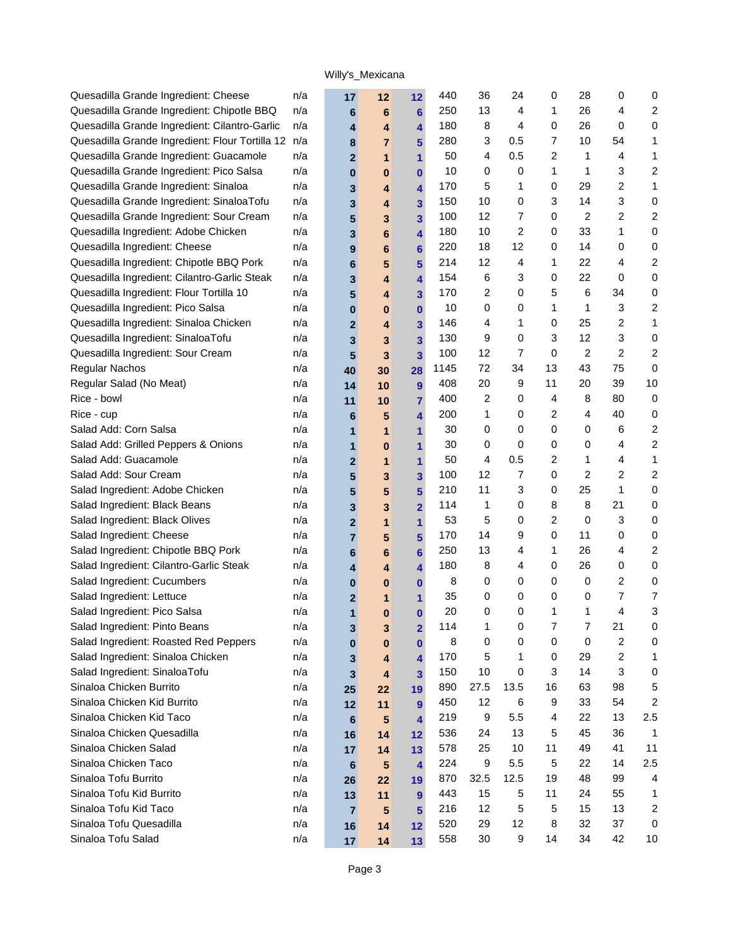| Quesadilla Grande Ingredient: Cheese            | n/a | 17                      | 12             | 12 <sup>2</sup> | 440  | 36               | 24   | 0              | 28             | 0  | 0                       |
|-------------------------------------------------|-----|-------------------------|----------------|-----------------|------|------------------|------|----------------|----------------|----|-------------------------|
| Quesadilla Grande Ingredient: Chipotle BBQ      | n/a | 6                       | 6              | $6 \,$          | 250  | 13               | 4    | 1              | 26             | 4  | $\overline{c}$          |
| Quesadilla Grande Ingredient: Cilantro-Garlic   | n/a | 4                       | 4              | 4               | 180  | 8                | 4    | 0              | 26             | 0  | 0                       |
| Quesadilla Grande Ingredient: Flour Tortilla 12 | n/a | 8                       | $\overline{7}$ | 5               | 280  | 3                | 0.5  | 7              | 10             | 54 | 1                       |
| Quesadilla Grande Ingredient: Guacamole         | n/a | $\overline{2}$          | 1              | 1               | 50   | 4                | 0.5  | 2              | 1              | 4  | 1                       |
| Quesadilla Grande Ingredient: Pico Salsa        | n/a | $\bf{0}$                | 0              | 0               | 10   | 0                | 0    | 1              | 1              | 3  | $\overline{c}$          |
| Quesadilla Grande Ingredient: Sinaloa           | n/a | 3                       | 4              | 4               | 170  | 5                | 1    | 0              | 29             | 2  | 1                       |
| Quesadilla Grande Ingredient: SinaloaTofu       | n/a | 3                       | 4              | 3               | 150  | 10               | 0    | 3              | 14             | 3  | 0                       |
| Quesadilla Grande Ingredient: Sour Cream        | n/a | 5                       | 3              | 3               | 100  | 12               | 7    | 0              | 2              | 2  | $\overline{2}$          |
| Quesadilla Ingredient: Adobe Chicken            | n/a | 3                       | 6              | 4               | 180  | 10               | 2    | 0              | 33             | 1  | 0                       |
| Quesadilla Ingredient: Cheese                   | n/a | $\boldsymbol{9}$        | 6              | 6               | 220  | 18               | 12   | 0              | 14             | 0  | 0                       |
| Quesadilla Ingredient: Chipotle BBQ Pork        | n/a | 6                       | 5              | 5               | 214  | 12               | 4    | 1              | 22             | 4  | $\overline{c}$          |
| Quesadilla Ingredient: Cilantro-Garlic Steak    | n/a | 3                       | 4              | 4               | 154  | 6                | 3    | 0              | 22             | 0  | 0                       |
| Quesadilla Ingredient: Flour Tortilla 10        | n/a | 5                       | 4              | 3               | 170  | 2                | 0    | 5              | 6              | 34 | 0                       |
| Quesadilla Ingredient: Pico Salsa               | n/a | $\bf{0}$                | 0              | $\mathbf{0}$    | 10   | 0                | 0    | 1              | 1              | 3  | $\overline{\mathbf{c}}$ |
| Quesadilla Ingredient: Sinaloa Chicken          | n/a | $\mathbf{2}$            | 4              | 3               | 146  | 4                | 1    | 0              | 25             | 2  | 1                       |
| Quesadilla Ingredient: SinaloaTofu              | n/a | 3                       | 3              | 3               | 130  | 9                | 0    | 3              | 12             | 3  | 0                       |
| Quesadilla Ingredient: Sour Cream               | n/a | $5\phantom{.0}$         | 3              | 3               | 100  | 12               | 7    | 0              | 2              | 2  | $\overline{c}$          |
| Regular Nachos                                  | n/a | 40                      | 30             | 28              | 1145 | 72               | 34   | 13             | 43             | 75 | 0                       |
| Regular Salad (No Meat)                         | n/a | 14                      | 10             | 9               | 408  | 20               | 9    | 11             | 20             | 39 | 10                      |
| Rice - bowl                                     | n/a | 11                      | 10             | $\overline{7}$  | 400  | 2                | 0    | 4              | 8              | 80 | 0                       |
| Rice - cup                                      | n/a | 6                       | 5              | 4               | 200  | 1                | 0    | 2              | 4              | 40 | 0                       |
| Salad Add: Corn Salsa                           | n/a | 1                       | 1              | 1               | 30   | 0                | 0    | 0              | 0              | 6  | 2                       |
| Salad Add: Grilled Peppers & Onions             | n/a | $\mathbf{1}$            | 0              | 1               | 30   | 0                | 0    | 0              | 0              | 4  | $\overline{2}$          |
| Salad Add: Guacamole                            | n/a | $\mathbf{2}$            | 1              | 1               | 50   | 4                | 0.5  | 2              | 1              | 4  | 1                       |
| Salad Add: Sour Cream                           | n/a | $5\phantom{1}$          | 3              | 3               | 100  | 12               | 7    | 0              | 2              | 2  | $\overline{c}$          |
| Salad Ingredient: Adobe Chicken                 | n/a | 5                       | 5              | 5               | 210  | 11               | 3    | 0              | 25             | 1  | 0                       |
| Salad Ingredient: Black Beans                   | n/a | 3                       | 3              | $\overline{2}$  | 114  | $\mathbf 1$      | 0    | 8              | 8              | 21 | 0                       |
| Salad Ingredient: Black Olives                  | n/a | $\overline{2}$          | 1              | 1               | 53   | 5                | 0    | 2              | 0              | 3  | 0                       |
| Salad Ingredient: Cheese                        | n/a | $\overline{7}$          | 5              | 5               | 170  | 14               | 9    | 0              | 11             | 0  | 0                       |
| Salad Ingredient: Chipotle BBQ Pork             | n/a | 6                       | 6              | 6               | 250  | 13               | 4    | 1              | 26             | 4  | 2                       |
| Salad Ingredient: Cilantro-Garlic Steak         | n/a | 4                       | 4              | 4               | 180  | 8                | 4    | 0              | 26             | 0  | 0                       |
| Salad Ingredient: Cucumbers                     | n/a | $\bf{0}$                | 0              | 0               | 8    | 0                | 0    | 0              | 0              | 2  | 0                       |
| Salad Ingredient: Lettuce                       | n/a | $\mathbf{2}$            | 1              | 1               | 35   | 0                | 0    | 0              | 0              | 7  | 7                       |
| Salad Ingredient: Pico Salsa                    | n/a | 1                       | $\bf{0}$       | $\mathbf{0}$    | 20   | 0                | 0    | 1              | 1              | 4  | 3                       |
| Salad Ingredient: Pinto Beans                   | n/a | 3                       | 3              | $\overline{2}$  | 114  | $\mathbf{1}$     | 0    | $\overline{7}$ | $\overline{7}$ | 21 | 0                       |
| Salad Ingredient: Roasted Red Peppers           | n/a | $\bf{0}$                | 0              | 0               | 8    | 0                | 0    | 0              | 0              | 2  | 0                       |
| Salad Ingredient: Sinaloa Chicken               | n/a | 3                       | 4              | 4               | 170  | 5                | 1    | 0              | 29             | 2  | 1                       |
| Salad Ingredient: SinaloaTofu                   | n/a | $\overline{\mathbf{3}}$ | 4              | 3               | 150  | 10               | 0    | 3              | 14             | 3  | 0                       |
| Sinaloa Chicken Burrito                         | n/a | 25                      | 22             | 19              | 890  | 27.5             | 13.5 | 16             | 63             | 98 | 5                       |
| Sinaloa Chicken Kid Burrito                     | n/a | 12                      | 11             | 9               | 450  | 12               | 6    | 9              | 33             | 54 | $\overline{c}$          |
| Sinaloa Chicken Kid Taco                        | n/a | $\bf 6$                 | 5              | 4               | 219  | 9                | 5.5  | 4              | 22             | 13 | 2.5                     |
| Sinaloa Chicken Quesadilla                      | n/a | 16                      | 14             | 12              | 536  | 24               | 13   | 5              | 45             | 36 | 1                       |
| Sinaloa Chicken Salad                           | n/a | 17                      | 14             | 13              | 578  | 25               | 10   | 11             | 49             | 41 | 11                      |
| Sinaloa Chicken Taco                            | n/a | 6                       | 5              | 4               | 224  | $\boldsymbol{9}$ | 5.5  | 5              | 22             | 14 | 2.5                     |
| Sinaloa Tofu Burrito                            | n/a | 26                      | 22             | 19              | 870  | 32.5             | 12.5 | 19             | 48             | 99 | 4                       |
| Sinaloa Tofu Kid Burrito                        | n/a | 13                      | 11             | 9               | 443  | 15               | 5    | 11             | 24             | 55 | 1                       |
| Sinaloa Tofu Kid Taco                           | n/a | $\overline{7}$          | 5              | 5               | 216  | 12               | 5    | 5              | 15             | 13 | $\overline{c}$          |
| Sinaloa Tofu Quesadilla                         | n/a | 16                      | 14             | 12              | 520  | 29               | 12   | 8              | 32             | 37 | 0                       |
| Sinaloa Tofu Salad                              | n/a | 17                      | 14             | 13              | 558  | 30               | 9    | 14             | 34             | 42 | 10                      |
|                                                 |     |                         |                |                 |      |                  |      |                |                |    |                         |